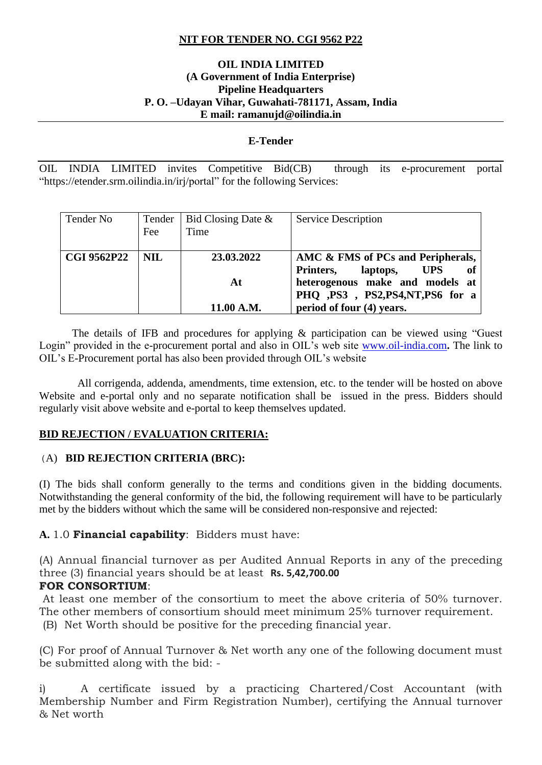## **NIT FOR TENDER NO. CGI 9562 P22**

#### **OIL INDIA LIMITED (A Government of India Enterprise) Pipeline Headquarters P. O. –Udayan Vihar, Guwahati-781171, Assam, India E mail: ramanujd@oilindia.in**

#### **E-Tender**

OIL INDIA LIMITED invites Competitive Bid(CB) through its e-procurement portal "https://etender.srm.oilindia.in/irj/portal" for the following Services:

| Tender No          | Tender<br>Fee | Bid Closing Date &<br>Time | <b>Service Description</b>                                                     |
|--------------------|---------------|----------------------------|--------------------------------------------------------------------------------|
| <b>CGI 9562P22</b> | <b>NIL</b>    | 23.03.2022                 | AMC & FMS of PCs and Peripherals,<br><b>UPS</b><br>Printers,<br>laptops,<br>of |
|                    |               | At                         | heterogenous make and models at<br>PHQ ,PS3, PS2,PS4,NT,PS6 for a              |
|                    |               | 11.00 A.M.                 | period of four (4) years.                                                      |

The details of IFB and procedures for applying & participation can be viewed using "Guest Login" provided in the e-procurement portal and also in OIL's web site [www.oil-india.com](http://www.oil-india.com/)**.** The link to OIL's E-Procurement portal has also been provided through OIL's website

 All corrigenda, addenda, amendments, time extension, etc. to the tender will be hosted on above Website and e-portal only and no separate notification shall be issued in the press. Bidders should regularly visit above website and e-portal to keep themselves updated.

### **BID REJECTION / EVALUATION CRITERIA:**

#### (A) **BID REJECTION CRITERIA (BRC):**

(I) The bids shall conform generally to the terms and conditions given in the bidding documents. Notwithstanding the general conformity of the bid, the following requirement will have to be particularly met by the bidders without which the same will be considered non-responsive and rejected:

### **A.** 1.0 **Financial capability**: Bidders must have:

(A) Annual financial turnover as per Audited Annual Reports in any of the preceding three (3) financial years should be at least **Rs. 5,42,700.00**

## **FOR CONSORTIUM**:

At least one member of the consortium to meet the above criteria of 50% turnover. The other members of consortium should meet minimum 25% turnover requirement.

(B) Net Worth should be positive for the preceding financial year.

(C) For proof of Annual Turnover & Net worth any one of the following document must be submitted along with the bid: -

i) A certificate issued by a practicing Chartered/Cost Accountant (with Membership Number and Firm Registration Number), certifying the Annual turnover & Net worth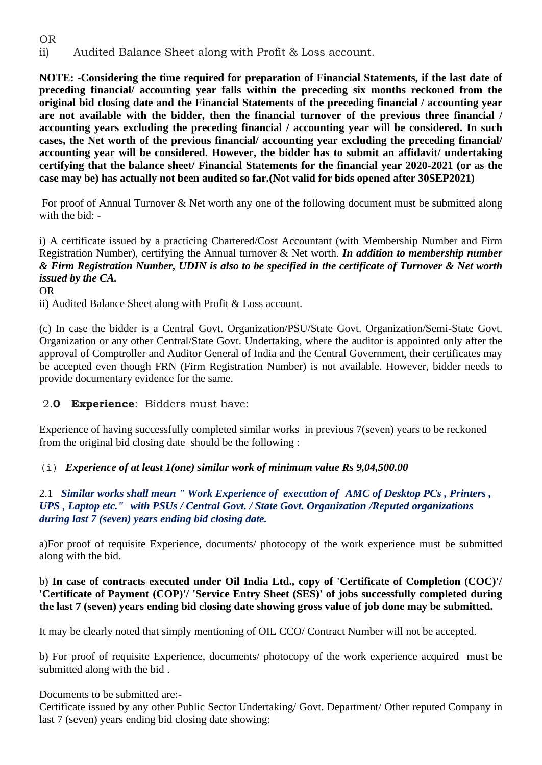# OR ii) Audited Balance Sheet along with Profit & Loss account.

**NOTE: -Considering the time required for preparation of Financial Statements, if the last date of preceding financial/ accounting year falls within the preceding six months reckoned from the original bid closing date and the Financial Statements of the preceding financial / accounting year are not available with the bidder, then the financial turnover of the previous three financial / accounting years excluding the preceding financial / accounting year will be considered. In such cases, the Net worth of the previous financial/ accounting year excluding the preceding financial/ accounting year will be considered. However, the bidder has to submit an affidavit/ undertaking certifying that the balance sheet/ Financial Statements for the financial year 2020-2021 (or as the case may be) has actually not been audited so far.(Not valid for bids opened after 30SEP2021)**

For proof of Annual Turnover & Net worth any one of the following document must be submitted along with the bid: -

# i) A certificate issued by a practicing Chartered/Cost Accountant (with Membership Number and Firm Registration Number), certifying the Annual turnover & Net worth. *In addition to membership number & Firm Registration Number, UDIN is also to be specified in the certificate of Turnover & Net worth issued by the CA.*

OR

ii) Audited Balance Sheet along with Profit & Loss account.

(c) In case the bidder is a Central Govt. Organization/PSU/State Govt. Organization/Semi-State Govt. Organization or any other Central/State Govt. Undertaking, where the auditor is appointed only after the approval of Comptroller and Auditor General of India and the Central Government, their certificates may be accepted even though FRN (Firm Registration Number) is not available. However, bidder needs to provide documentary evidence for the same.

# 2.**0 Experience**: Bidders must have:

Experience of having successfully completed similar works in previous 7(seven) years to be reckoned from the original bid closing date should be the following :

# (i) *Experience of at least 1(one) similar work of minimum value Rs 9,04,500.00*

## 2.1 *Similar works shall mean " Work Experience of execution of AMC of Desktop PCs , Printers , UPS , Laptop etc." with PSUs / Central Govt. / State Govt. Organization /Reputed organizations during last 7 (seven) years ending bid closing date.*

a)For proof of requisite Experience, documents/ photocopy of the work experience must be submitted along with the bid.

## b) **In case of contracts executed under Oil India Ltd., copy of 'Certificate of Completion (COC)'/ 'Certificate of Payment (COP)'/ 'Service Entry Sheet (SES)' of jobs successfully completed during the last 7 (seven) years ending bid closing date showing gross value of job done may be submitted.**

It may be clearly noted that simply mentioning of OIL CCO/ Contract Number will not be accepted.

b) For proof of requisite Experience, documents/ photocopy of the work experience acquired must be submitted along with the bid .

Documents to be submitted are:-

Certificate issued by any other Public Sector Undertaking/ Govt. Department/ Other reputed Company in last 7 (seven) years ending bid closing date showing: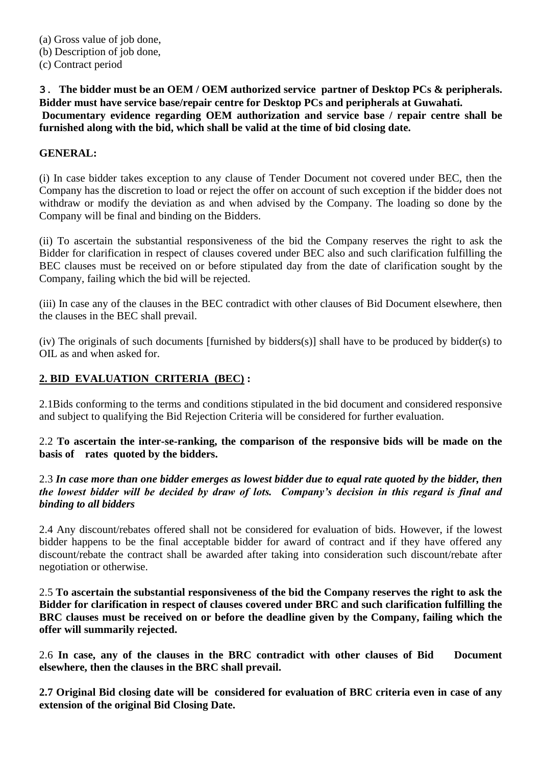**3**. **The bidder must be an OEM / OEM authorized service partner of Desktop PCs & peripherals. Bidder must have service base/repair centre for Desktop PCs and peripherals at Guwahati. Documentary evidence regarding OEM authorization and service base / repair centre shall be furnished along with the bid, which shall be valid at the time of bid closing date.**

### **GENERAL:**

(i) In case bidder takes exception to any clause of Tender Document not covered under BEC, then the Company has the discretion to load or reject the offer on account of such exception if the bidder does not withdraw or modify the deviation as and when advised by the Company. The loading so done by the Company will be final and binding on the Bidders.

(ii) To ascertain the substantial responsiveness of the bid the Company reserves the right to ask the Bidder for clarification in respect of clauses covered under BEC also and such clarification fulfilling the BEC clauses must be received on or before stipulated day from the date of clarification sought by the Company, failing which the bid will be rejected.

(iii) In case any of the clauses in the BEC contradict with other clauses of Bid Document elsewhere, then the clauses in the BEC shall prevail.

(iv) The originals of such documents [furnished by bidders(s)] shall have to be produced by bidder(s) to OIL as and when asked for.

# **2. BID EVALUATION CRITERIA (BEC) :**

2.1Bids conforming to the terms and conditions stipulated in the bid document and considered responsive and subject to qualifying the Bid Rejection Criteria will be considered for further evaluation.

2.2 **To ascertain the inter-se-ranking, the comparison of the responsive bids will be made on the basis of rates quoted by the bidders.**

2.3 *In case more than one bidder emerges as lowest bidder due to equal rate quoted by the bidder, then the lowest bidder will be decided by draw of lots. Company's decision in this regard is final and binding to all bidders*

2.4 Any discount/rebates offered shall not be considered for evaluation of bids. However, if the lowest bidder happens to be the final acceptable bidder for award of contract and if they have offered any discount/rebate the contract shall be awarded after taking into consideration such discount/rebate after negotiation or otherwise.

2.5 **To ascertain the substantial responsiveness of the bid the Company reserves the right to ask the Bidder for clarification in respect of clauses covered under BRC and such clarification fulfilling the BRC clauses must be received on or before the deadline given by the Company, failing which the offer will summarily rejected.**

2.6 **In case, any of the clauses in the BRC contradict with other clauses of Bid Document elsewhere, then the clauses in the BRC shall prevail.**

**2.7 Original Bid closing date will be considered for evaluation of BRC criteria even in case of any extension of the original Bid Closing Date.**